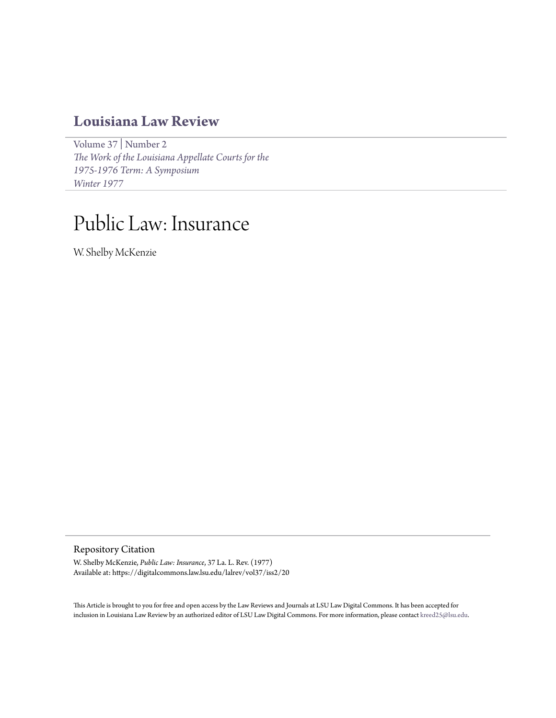## **[Louisiana Law Review](https://digitalcommons.law.lsu.edu/lalrev)**

[Volume 37](https://digitalcommons.law.lsu.edu/lalrev/vol37) | [Number 2](https://digitalcommons.law.lsu.edu/lalrev/vol37/iss2) *[The Work of the Louisiana Appellate Courts for the](https://digitalcommons.law.lsu.edu/lalrev/vol37/iss2) [1975-1976 Term: A Symposium](https://digitalcommons.law.lsu.edu/lalrev/vol37/iss2) [Winter 1977](https://digitalcommons.law.lsu.edu/lalrev/vol37/iss2)*

# Public Law: Insurance

W. Shelby McKenzie

Repository Citation

W. Shelby McKenzie, *Public Law: Insurance*, 37 La. L. Rev. (1977) Available at: https://digitalcommons.law.lsu.edu/lalrev/vol37/iss2/20

This Article is brought to you for free and open access by the Law Reviews and Journals at LSU Law Digital Commons. It has been accepted for inclusion in Louisiana Law Review by an authorized editor of LSU Law Digital Commons. For more information, please contact [kreed25@lsu.edu](mailto:kreed25@lsu.edu).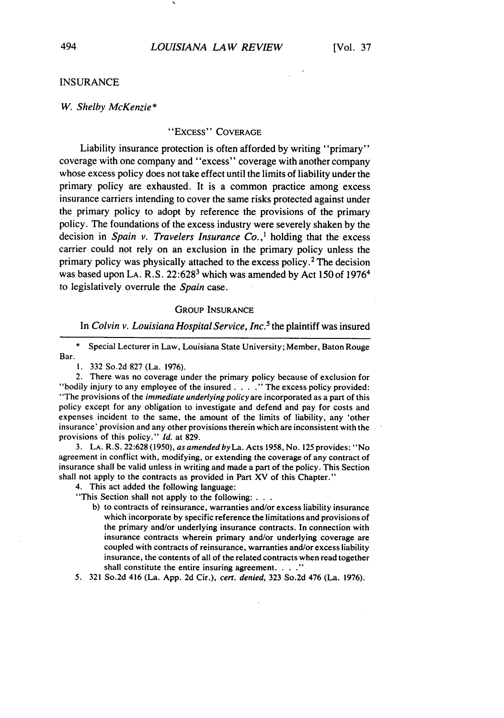#### INSURANCE

#### *W. Shelby McKenzie\**

#### "EXCESS" COVERAGE

Liability insurance protection is often afforded by writing "primary" coverage with one company and "excess" coverage with another company whose excess policy does not take effect until the limits of liability under the primary policy are exhausted. It is a common practice among excess insurance carriers intending to cover the same risks protected against under the primary policy to adopt by reference the provisions of the primary policy. The foundations of the excess industry were severely shaken by the decision in *Spain v. Travelers Insurance Co.,'* holding that the excess carrier could not rely on an exclusion in the primary policy unless the primary policy was physically attached to the excess policy.<sup>2</sup> The decision was based upon LA. R.S. 22:628<sup>3</sup> which was amended by Act 150 of 1976<sup>4</sup> to legislatively overrule the *Spain* case.

#### **GROUP INSURANCE**

In *Colvin v. Louisiana Hospital Service, Inc.5* the plaintiff was insured

Special Lecturer in Law, Louisiana State University; Member, Baton Rouge Bar.

1. 332 So.2d 827 (La. 1976).

2. There was no coverage under the primary policy because of exclusion for "bodily injury to any employee of the insured . . . . " The excess policy provided: "The provisions of the *immediate underlying policy* are incorporated as a part of this policy except for any obligation to investigate and defend and pay for costs and expenses incident to the same, the amount of the limits of liability, any 'other insurance' provision and any other provisions therein which are inconsistent with the provisions of this policy." *Id.* at 829.

3. **LA.** R.S. 22:628 (1950), as amended byLa. Acts 1958, No. 125 provides: "No agreement in conflict with, modifying, or extending the coverage of any contract of insurance shall be valid unless in writing and made a part of the policy. This Section shall not apply to the contracts as provided in Part XV of this Chapter."

4. This act added the following language:

"This Section shall not apply to the following: . **. .**

b) to contracts of reinsurance, warranties and/or excess liability insurance which incorporate by specific reference the limitations and provisions of the primary and/or underlying insurance contracts. In connection with insurance contracts wherein primary and/or underlying coverage are coupled with contracts of reinsurance, warranties and/or excess liability insurance, the contents of all of the related contracts when read together shall constitute the entire insuring agreement. **.. ."**

5. 321 So.2d 416 (La. **App. 2d** Cir.), cert. denied, 323 So.2d 476 (La. 1976).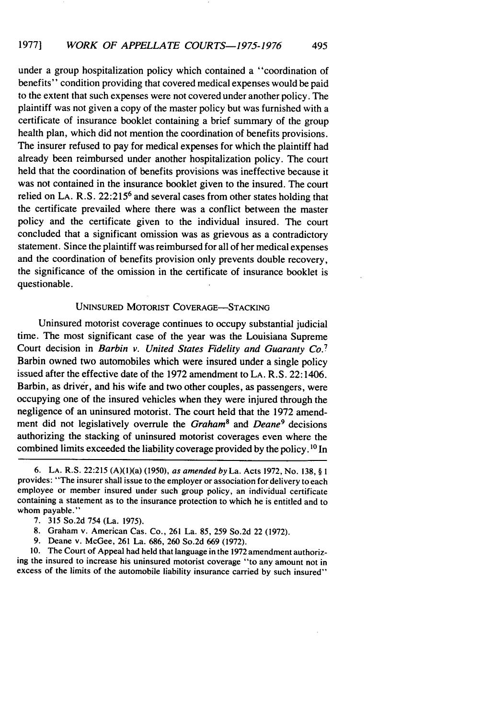under a group hospitalization policy which contained a "coordination of benefits" condition providing that covered medical expenses would be paid to the extent that such expenses were not covered under another policy. The plaintiff was not given a copy of the master policy but was furnished with a certificate of insurance booklet containing a brief summary of the group health plan, which did not mention the coordination of benefits provisions. The insurer refused to pay for medical expenses for which the plaintiff had already been reimbursed under another hospitalization policy. The court held that the coordination of benefits provisions was ineffective because it was not contained in the insurance booklet given to the insured. The court relied on LA. R.S. 22:215<sup>6</sup> and several cases from other states holding that the certificate prevailed where there was a conflict between the master policy and the certificate given to the individual insured. The court concluded that a significant omission was as grievous as a contradictory statement. Since the plaintiff was reimbursed for all of her medical expenses and the coordination of benefits provision only prevents double recovery, the significance of the omission in the certificate of insurance booklet is questionable.

#### UNINSURED MOTORIST COVERAGE-STACKING

Uninsured motorist coverage continues to occupy substantial judicial time. The most significant case of the year was the Louisiana Supreme Court decision in *Barbin v. United States Fidelity and Guaranty Co.7* Barbin owned two automobiles which were insured under a single policy issued after the effective date of the 1972 amendment to LA. R.S. 22:1406. Barbin, as driver, and his wife and two other couples, as passengers, were occupying one of the insured vehicles when they were injured through the negligence of an uninsured motorist. The court held that the 1972 amendment did not legislatively overrule the *Graham8* and *Deane9* decisions authorizing the stacking of uninsured motorist coverages even where the combined limits exceeded the liability coverage provided by the policy.  $^{10}$  In

9. Deane v. McGee, 261 La. 686, 260 So.2d 669 (1972).

10. The Court of Appeal had held that language in the 1972 amendment authorizing the insured to increase his uninsured motorist coverage "to any amount not in excess of the limits of the automobile liability insurance carried by such insured"

<sup>6.</sup> LA. R.S. 22:215 (A)(l)(a) (1950), *as amended by La.* Acts 1972, No. 138, § **I** provides: "The insurer shall issue to the employer or association for delivery to each employee or member insured under such group policy, an individual certificate containing a statement as to the insurance protection to which he is entitled and to whom payable."

<sup>7. 315</sup> So.2d 754 (La. 1975).

<sup>8.</sup> Graham v. American Cas. Co., 261 La. 85, 259 So.2d 22 (1972).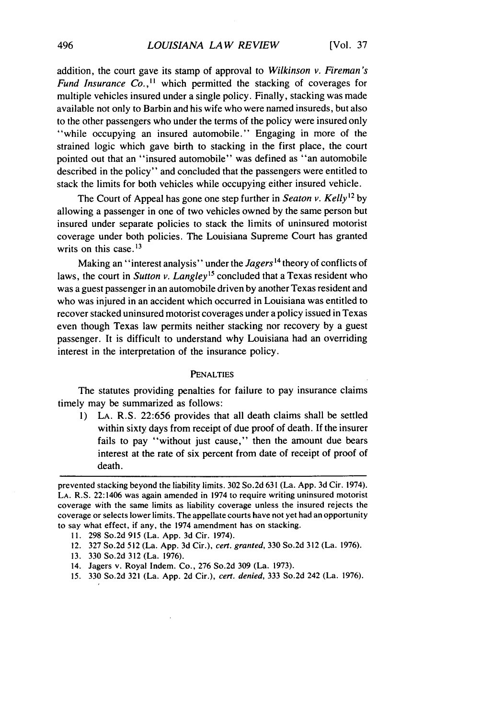addition, the court gave its stamp of approval to *Wilkinson v. Fireman's Fund Insurance Co.*,<sup>11</sup> which permitted the stacking of coverages for multiple vehicles insured under a single policy. Finally, stacking was made available not only to Barbin and his wife who were named insureds, but also to the other passengers who under the terms of the policy were insured only "while occupying an insured automobile." Engaging in more of the strained logic which gave birth to stacking in the first place, the court pointed out that an "insured automobile" was defined as "an automobile described in the policy" and concluded that the passengers were entitled to stack the limits for both vehicles while occupying either insured vehicle.

The Court of Appeal has gone one step further in *Seaton v. Kelly*<sup>12</sup> by allowing a passenger in one of two vehicles owned by the same person but insured under separate policies to stack the limits of uninsured motorist coverage under both policies. The Louisiana Supreme Court has granted writs on this case.<sup>13</sup>

Making an "interest analysis" under the *Jagers*<sup>14</sup> theory of conflicts of laws, the court in *Sutton v. Langley*<sup>15</sup> concluded that a Texas resident who was a guest passenger in an automobile driven by another Texas resident and who was injured in an accident which occurred in Louisiana was entitled to recover stacked uninsured motorist coverages under a policy issued in Texas even though Texas law permits neither stacking nor recovery by a guest passenger. It is difficult to understand why Louisiana had an overriding interest in the interpretation of the insurance policy.

#### **PENALTIES**

The statutes providing penalties for failure to pay insurance claims timely may be summarized as follows:

1) **LA.** R.S. 22:656 provides that all death claims shall be settled within sixty days from receipt of due proof of death. If the insurer fails to pay "without just cause," then the amount due bears interest at the rate of six percent from date of receipt of proof of death.

- 12. 327 So.2d 512 (La. App. 3d Cir.), cert. granted, 330 So.2d 312 (La. 1976).
- 13. 330 So.2d 312 (La. 1976).
- 14. Jagers v. Royal Indem. Co., 276 So.2d 309 (La. 1973).
- 15. 330 So.2d 321 (La. App. 2d Cir.), cert. denied, 333 So.2d 242 (La. 1976).

prevented stacking beyond the liability limits. 302 So.2d 631 (La. App. 3d Cir. 1974). **LA.** R.S. 22:1406 was again amended in 1974 to require writing uninsured motorist coverage with the same limits as liability coverage unless the insured rejects the coverage or selects lower limits. The appellate courts have not yet had an opportunity to say what effect, if any, the 1974 amendment has on stacking.

**<sup>11.</sup>** 298 So.2d 915 (La. App. 3d Cir. 1974).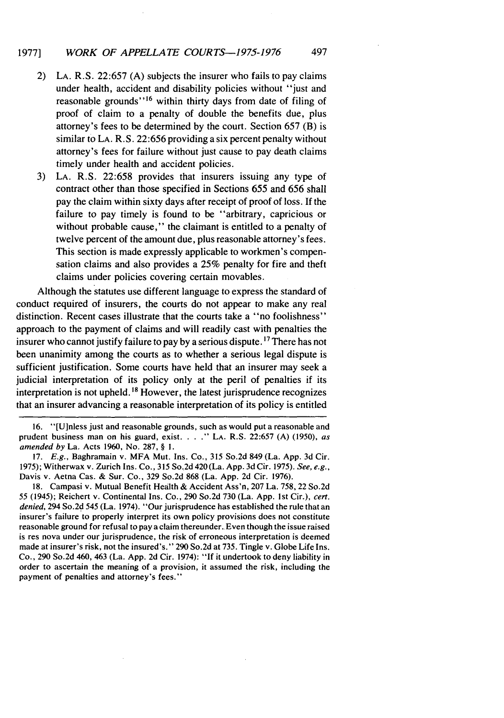### 1977] *WORK OF APPELLATE COURTS-1975-1976* 497

- 2) **LA.** R.S. 22:657 (A) subjects the insurer who fails to pay claims under health, accident and disability policies without "just and reasonable grounds"<sup>16</sup> within thirty days from date of filing of proof of claim to a penalty of double the benefits due, plus attorney's fees to be determined by the court. Section 657 (B) is similar to **LA.** R.S. 22:656 providing a six percent penalty without attorney's fees for failure without just cause to pay death claims timely under health and accident policies.
- 3) **LA.** R.S. 22:658 provides that insurers issuing any type of contract other than those specified in Sections 655 and 656 shall pay the claim within sixty days after receipt of proof of loss. If the failure to pay timely is found to be "arbitrary, capricious or without probable cause," the claimant is entitled to a penalty of twelve percent of the amount due, plus reasonable attorney's fees. This section is made expressly applicable to workmen's compensation claims and also provides a 25% penalty for fire and theft claims under policies covering certain movables.

Although the statutes use different language to express the standard of conduct required of insurers, the courts do not appear to make any real distinction. Recent cases illustrate that the courts take a "no foolishness" approach to the payment of claims and will readily cast with penalties the insurer who cannot justify failure to pay by a serious dispute. <sup>17</sup> There has not been unanimity among the courts as to whether a serious legal dispute is sufficient justification. Some courts have held that an insurer may seek a judicial interpretation of its policy only at the peril of penalties if its interpretation is not upheld.<sup>18</sup> However, the latest jurisprudence recognizes that an insurer advancing a reasonable interpretation of its policy is entitled

16. "[Ulnless just and reasonable grounds, such as would put a reasonable and prudent business man on his guard, exist. **... LA.** R.S. 22:657 (A) (1950), as *amended* by La. Acts 1960, No. 287, § **1.**

17. E.g., Baghramain v. MFA Mut. Ins. Co., 315 So.2d 849 (La. App. 3d Cir. 1975); Witherwax v. Zurich Ins. Co., 315 So.2d 420 (La. App. 3d Cir. 1975). See, e.g., Davis v. Aetna Cas. & Sur. Co., 329 So.2d 868 (La. App. 2d Cir. 1976).

18. Campasi v. Mutual Benefit Health & Accident Ass'n, 207 La. 758, 22 So.2d *55* (1945); Reichert v. Continental Ins. Co., 290 So.2d **730** (La. **App.** Ist Cir.), *cert. denied,* 294 So.2d 545 (La. 1974). "Our jurisprudence has established the rule that an insurer's failure to properly interpret its own policy provisions does not constitute reasonable ground for refusal to pay a claim thereunder. Even though the issue raised is res nova under our jurisprudence, the risk of erroneous interpretation is deemed made at insurer's risk, not the insured's." 290 So.2d at 735. Tingle v. Globe Life Ins. Co., 290 So.2d 460, 463 (La. App. 2d Cir. 1974): "If it undertook to deny liability in order to ascertain the meaning of a provision, it assumed the risk, including the payment of penalties and attorney's fees."